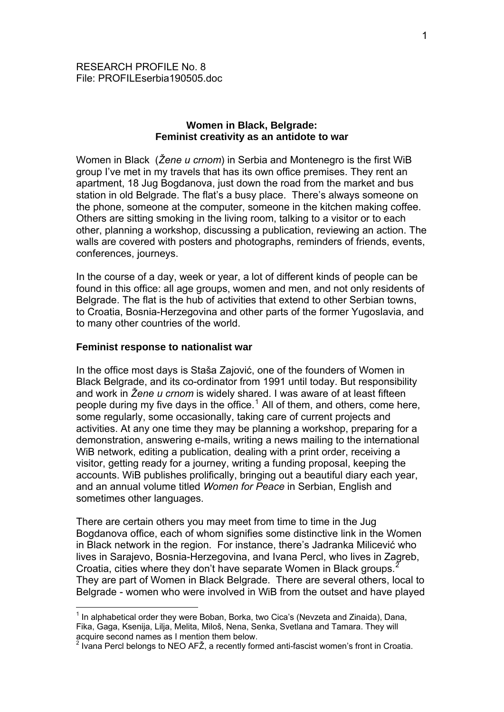## **Women in Black, Belgrade: Feminist creativity as an antidote to war**

Women in Black (*Žene u crnom*) in Serbia and Montenegro is the first WiB group I've met in my travels that has its own office premises. They rent an apartment, 18 Jug Bogdanova, just down the road from the market and bus station in old Belgrade. The flat's a busy place. There's always someone on the phone, someone at the computer, someone in the kitchen making coffee. Others are sitting smoking in the living room, talking to a visitor or to each other, planning a workshop, discussing a publication, reviewing an action. The walls are covered with posters and photographs, reminders of friends, events, conferences, journeys.

In the course of a day, week or year, a lot of different kinds of people can be found in this office: all age groups, women and men, and not only residents of Belgrade. The flat is the hub of activities that extend to other Serbian towns, to Croatia, Bosnia-Herzegovina and other parts of the former Yugoslavia, and to many other countries of the world.

## **Feminist response to nationalist war**

1

In the office most days is Staša Zajović, one of the founders of Women in Black Belgrade, and its co-ordinator from 1991 until today. But responsibility and work in *Žene u crnom* is widely shared. I was aware of at least fifteen people during my five days in the office.<sup>[1](#page-0-0)</sup> All of them, and others, come here, some regularly, some occasionally, taking care of current projects and activities. At any one time they may be planning a workshop, preparing for a demonstration, answering e-mails, writing a news mailing to the international WiB network, editing a publication, dealing with a print order, receiving a visitor, getting ready for a journey, writing a funding proposal, keeping the accounts. WiB publishes prolifically, bringing out a beautiful diary each year, and an annual volume titled *Women for Peace* in Serbian, English and sometimes other languages.

There are certain others you may meet from time to time in the Jug Bogdanova office, each of whom signifies some distinctive link in the Women in Black network in the region. For instance, there's Jadranka Milicević who lives in Sarajevo, Bosnia-Herzegovina, and Ivana Percl, who lives in Zagreb, Croatia, cities where they don't have separate Women in Black groups.<sup>[2](#page-0-1)</sup> They are part of Women in Black Belgrade. There are several others, local to Belgrade - women who were involved in WiB from the outset and have played

<span id="page-0-0"></span> $<sup>1</sup>$  In alphabetical order they were Boban, Borka, two Cica's (Nevzeta and Zinaida), Dana,</sup> Fika, Gaga, Ksenija, Lilja, Melita, Miloš, Nena, Senka, Svetlana and Tamara. They will acquire second names as I mention them below.<br><sup>2</sup> Ivana Percl belongs to NEO AFŽ, a recently formed anti-fascist women's front in Croatia.

<span id="page-0-1"></span>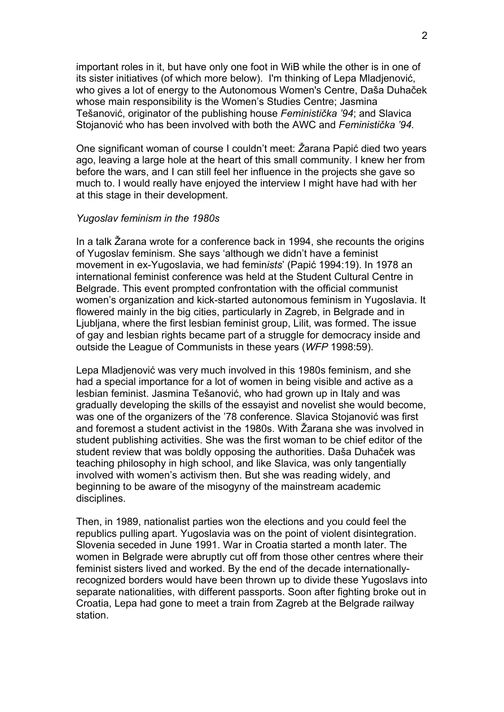important roles in it, but have only one foot in WiB while the other is in one of its sister initiatives (of which more below). I'm thinking of Lepa Mladjenović, who gives a lot of energy to the Autonomous Women's Centre, Daša Duhaček whose main responsibility is the Women's Studies Centre; Jasmina Tešanović, originator of the publishing house *Feministička '94*; and Slavica Stojanović who has been involved with both the AWC and *Feministička '94.*

One significant woman of course I couldn't meet: *Ž*arana Papić died two years ago, leaving a large hole at the heart of this small community. I knew her from before the wars, and I can still feel her influence in the projects she gave so much to. I would really have enjoyed the interview I might have had with her at this stage in their development.

# *Yugoslav feminism in the 1980s*

In a talk Žarana wrote for a conference back in 1994, she recounts the origins of Yugoslav feminism. She says 'although we didn't have a feminist movement in ex-Yugoslavia, we had femin*ists*' (Papić 1994:19). In 1978 an international feminist conference was held at the Student Cultural Centre in Belgrade. This event prompted confrontation with the official communist women's organization and kick-started autonomous feminism in Yugoslavia. It flowered mainly in the big cities, particularly in Zagreb, in Belgrade and in Ljubljana, where the first lesbian feminist group, Lilit, was formed. The issue of gay and lesbian rights became part of a struggle for democracy inside and outside the League of Communists in these years (*WFP* 1998:59).

Lepa Mladjenović was very much involved in this 1980s feminism, and she had a special importance for a lot of women in being visible and active as a lesbian feminist. Jasmina Tešanović, who had grown up in Italy and was gradually developing the skills of the essayist and novelist she would become, was one of the organizers of the '78 conference. Slavica Stojanović was first and foremost a student activist in the 1980s. With Žarana she was involved in student publishing activities. She was the first woman to be chief editor of the student review that was boldly opposing the authorities. Daša Duhaček was teaching philosophy in high school, and like Slavica, was only tangentially involved with women's activism then. But she was reading widely, and beginning to be aware of the misogyny of the mainstream academic disciplines.

Then, in 1989, nationalist parties won the elections and you could feel the republics pulling apart. Yugoslavia was on the point of violent disintegration. Slovenia seceded in June 1991. War in Croatia started a month later. The women in Belgrade were abruptly cut off from those other centres where their feminist sisters lived and worked. By the end of the decade internationallyrecognized borders would have been thrown up to divide these Yugoslavs into separate nationalities, with different passports. Soon after fighting broke out in Croatia, Lepa had gone to meet a train from Zagreb at the Belgrade railway station.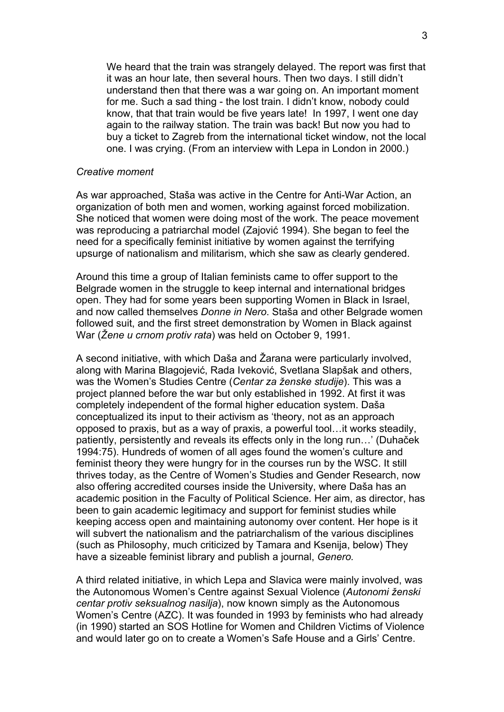We heard that the train was strangely delayed. The report was first that it was an hour late, then several hours. Then two days. I still didn't understand then that there was a war going on. An important moment for me. Such a sad thing - the lost train. I didn't know, nobody could know, that that train would be five years late! In 1997, I went one day again to the railway station. The train was back! But now you had to buy a ticket to Zagreb from the international ticket window, not the local one. I was crying. (From an interview with Lepa in London in 2000.)

## *Creative moment*

As war approached, Staša was active in the Centre for Anti-War Action, an organization of both men and women, working against forced mobilization. She noticed that women were doing most of the work. The peace movement was reproducing a patriarchal model (Zajović 1994). She began to feel the need for a specifically feminist initiative by women against the terrifying upsurge of nationalism and militarism, which she saw as clearly gendered.

Around this time a group of Italian feminists came to offer support to the Belgrade women in the struggle to keep internal and international bridges open. They had for some years been supporting Women in Black in Israel, and now called themselves *Donne in Nero*. Staša and other Belgrade women followed suit, and the first street demonstration by Women in Black against War (*Žene u crnom protiv rata*) was held on October 9, 1991.

A second initiative, with which Daša and Žarana were particularly involved, along with Marina Blagojević, Rada Iveković, Svetlana Slapšak and others, was the Women's Studies Centre (*Centar za ženske studije*). This was a project planned before the war but only established in 1992. At first it was completely independent of the formal higher education system. Daša conceptualized its input to their activism as 'theory, not as an approach opposed to praxis, but as a way of praxis, a powerful tool…it works steadily, patiently, persistently and reveals its effects only in the long run…' (Duhaček 1994:75). Hundreds of women of all ages found the women's culture and feminist theory they were hungry for in the courses run by the WSC. It still thrives today, as the Centre of Women's Studies and Gender Research, now also offering accredited courses inside the University, where Daša has an academic position in the Faculty of Political Science. Her aim, as director, has been to gain academic legitimacy and support for feminist studies while keeping access open and maintaining autonomy over content. Her hope is it will subvert the nationalism and the patriarchalism of the various disciplines (such as Philosophy, much criticized by Tamara and Ksenija, below) They have a sizeable feminist library and publish a journal, *Genero.* 

A third related initiative, in which Lepa and Slavica were mainly involved, was the Autonomous Women's Centre against Sexual Violence (*Autonomi ženski centar protiv seksualnog nasilja*), now known simply as the Autonomous Women's Centre (AZC). It was founded in 1993 by feminists who had already (in 1990) started an SOS Hotline for Women and Children Victims of Violence and would later go on to create a Women's Safe House and a Girls' Centre.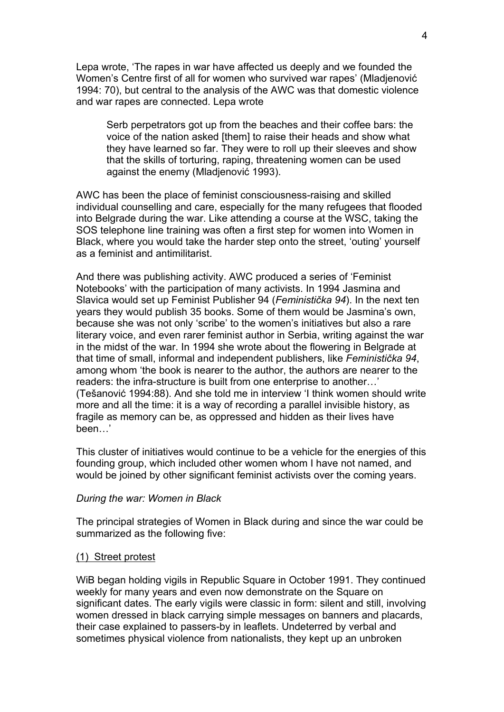Lepa wrote, 'The rapes in war have affected us deeply and we founded the Women's Centre first of all for women who survived war rapes' (Mladjenović 1994: 70), but central to the analysis of the AWC was that domestic violence and war rapes are connected. Lepa wrote

Serb perpetrators got up from the beaches and their coffee bars: the voice of the nation asked [them] to raise their heads and show what they have learned so far. They were to roll up their sleeves and show that the skills of torturing, raping, threatening women can be used against the enemy (Mladjenović 1993).

AWC has been the place of feminist consciousness-raising and skilled individual counselling and care, especially for the many refugees that flooded into Belgrade during the war. Like attending a course at the WSC, taking the SOS telephone line training was often a first step for women into Women in Black, where you would take the harder step onto the street, 'outing' yourself as a feminist and antimilitarist.

And there was publishing activity. AWC produced a series of 'Feminist Notebooks' with the participation of many activists. In 1994 Jasmina and Slavica would set up Feminist Publisher 94 (*Feministička 94*). In the next ten years they would publish 35 books. Some of them would be Jasmina's own, because she was not only 'scribe' to the women's initiatives but also a rare literary voice, and even rarer feminist author in Serbia, writing against the war in the midst of the war. In 1994 she wrote about the flowering in Belgrade at that time of small, informal and independent publishers, like *Feministička 94*, among whom 'the book is nearer to the author, the authors are nearer to the readers: the infra-structure is built from one enterprise to another…' (Tešanović 1994:88). And she told me in interview 'I think women should write more and all the time: it is a way of recording a parallel invisible history, as fragile as memory can be, as oppressed and hidden as their lives have been…'

This cluster of initiatives would continue to be a vehicle for the energies of this founding group, which included other women whom I have not named, and would be joined by other significant feminist activists over the coming years.

#### *During the war: Women in Black*

The principal strategies of Women in Black during and since the war could be summarized as the following five:

#### (1) Street protest

WiB began holding vigils in Republic Square in October 1991. They continued weekly for many years and even now demonstrate on the Square on significant dates. The early vigils were classic in form: silent and still, involving women dressed in black carrying simple messages on banners and placards, their case explained to passers-by in leaflets. Undeterred by verbal and sometimes physical violence from nationalists, they kept up an unbroken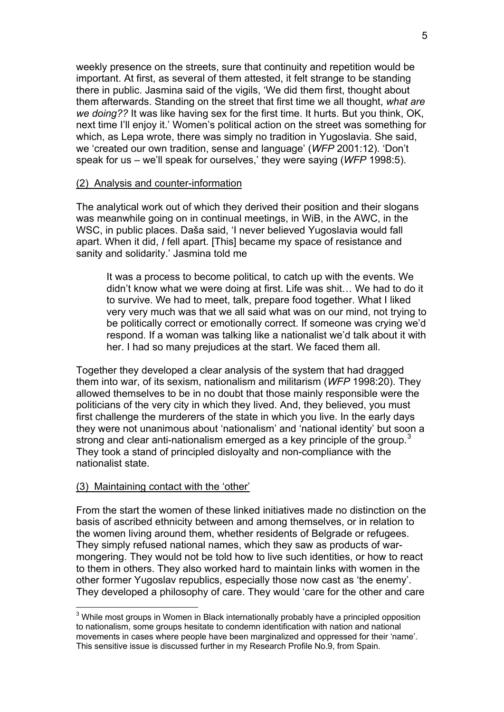weekly presence on the streets, sure that continuity and repetition would be important. At first, as several of them attested, it felt strange to be standing there in public. Jasmina said of the vigils, 'We did them first, thought about them afterwards. Standing on the street that first time we all thought, *what are we doing??* It was like having sex for the first time. It hurts. But you think, OK, next time I'll enjoy it.' Women's political action on the street was something for which, as Lepa wrote, there was simply no tradition in Yugoslavia. She said, we 'created our own tradition, sense and language' (*WFP* 2001:12). 'Don't speak for us – we'll speak for ourselves,' they were saying (*WFP* 1998:5).

## (2) Analysis and counter-information

The analytical work out of which they derived their position and their slogans was meanwhile going on in continual meetings, in WiB, in the AWC, in the WSC, in public places. Daša said, 'I never believed Yugoslavia would fall apart. When it did, *I* fell apart. [This] became my space of resistance and sanity and solidarity.' Jasmina told me

It was a process to become political, to catch up with the events. We didn't know what we were doing at first. Life was shit… We had to do it to survive. We had to meet, talk, prepare food together. What I liked very very much was that we all said what was on our mind, not trying to be politically correct or emotionally correct. If someone was crying we'd respond. If a woman was talking like a nationalist we'd talk about it with her. I had so many prejudices at the start. We faced them all.

Together they developed a clear analysis of the system that had dragged them into war, of its sexism, nationalism and militarism (*WFP* 1998:20). They allowed themselves to be in no doubt that those mainly responsible were the politicians of the very city in which they lived. And, they believed, you must first challenge the murderers of the state in which you live. In the early days they were not unanimous about 'nationalism' and 'national identity' but soon a strong and clear anti-nationalism emerged as a key principle of the group.<sup>[3](#page-4-0)</sup> They took a stand of principled disloyalty and non-compliance with the nationalist state.

## (3) Maintaining contact with the 'other'

From the start the women of these linked initiatives made no distinction on the basis of ascribed ethnicity between and among themselves, or in relation to the women living around them, whether residents of Belgrade or refugees. They simply refused national names, which they saw as products of warmongering. They would not be told how to live such identities, or how to react to them in others. They also worked hard to maintain links with women in the other former Yugoslav republics, especially those now cast as 'the enemy'. They developed a philosophy of care. They would 'care for the other and care

<span id="page-4-0"></span> 3 While most groups in Women in Black internationally probably have a principled opposition to nationalism, some groups hesitate to condemn identification with nation and national movements in cases where people have been marginalized and oppressed for their 'name'. This sensitive issue is discussed further in my Research Profile No.9, from Spain.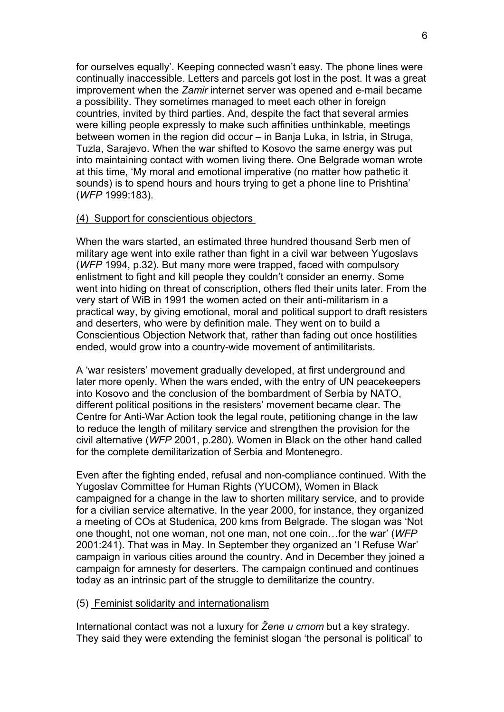for ourselves equally'. Keeping connected wasn't easy. The phone lines were continually inaccessible. Letters and parcels got lost in the post. It was a great improvement when the *Zamir* internet server was opened and e-mail became a possibility. They sometimes managed to meet each other in foreign countries, invited by third parties. And, despite the fact that several armies were killing people expressly to make such affinities unthinkable, meetings between women in the region did occur – in Banja Luka, in Istria, in Struga, Tuzla, Sarajevo. When the war shifted to Kosovo the same energy was put into maintaining contact with women living there. One Belgrade woman wrote at this time, 'My moral and emotional imperative (no matter how pathetic it sounds) is to spend hours and hours trying to get a phone line to Prishtina' (*WFP* 1999:183).

### (4) Support for conscientious objectors

When the wars started, an estimated three hundred thousand Serb men of military age went into exile rather than fight in a civil war between Yugoslavs (*WFP* 1994, p.32). But many more were trapped, faced with compulsory enlistment to fight and kill people they couldn't consider an enemy. Some went into hiding on threat of conscription, others fled their units later. From the very start of WiB in 1991 the women acted on their anti-militarism in a practical way, by giving emotional, moral and political support to draft resisters and deserters, who were by definition male. They went on to build a Conscientious Objection Network that, rather than fading out once hostilities ended, would grow into a country-wide movement of antimilitarists.

A 'war resisters' movement gradually developed, at first underground and later more openly. When the wars ended, with the entry of UN peacekeepers into Kosovo and the conclusion of the bombardment of Serbia by NATO, different political positions in the resisters' movement became clear. The Centre for Anti-War Action took the legal route, petitioning change in the law to reduce the length of military service and strengthen the provision for the civil alternative (*WFP* 2001, p.280). Women in Black on the other hand called for the complete demilitarization of Serbia and Montenegro.

Even after the fighting ended, refusal and non-compliance continued. With the Yugoslav Committee for Human Rights (YUCOM), Women in Black campaigned for a change in the law to shorten military service, and to provide for a civilian service alternative. In the year 2000, for instance, they organized a meeting of COs at Studenica, 200 kms from Belgrade. The slogan was 'Not one thought, not one woman, not one man, not one coin…for the war' (*WFP*  2001:241). That was in May. In September they organized an 'I Refuse War' campaign in various cities around the country. And in December they joined a campaign for amnesty for deserters. The campaign continued and continues today as an intrinsic part of the struggle to demilitarize the country.

#### (5) Feminist solidarity and internationalism

International contact was not a luxury for *Žene u crnom* but a key strategy. They said they were extending the feminist slogan 'the personal is political' to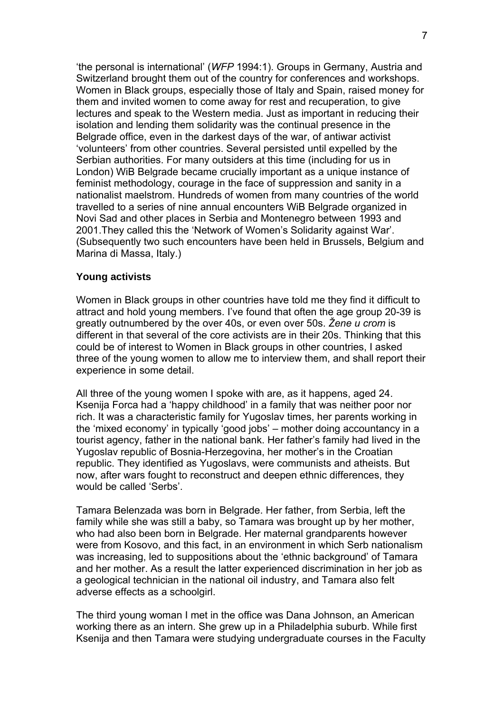'the personal is international' (*WFP* 1994:1). Groups in Germany, Austria and Switzerland brought them out of the country for conferences and workshops. Women in Black groups, especially those of Italy and Spain, raised money for them and invited women to come away for rest and recuperation, to give lectures and speak to the Western media. Just as important in reducing their isolation and lending them solidarity was the continual presence in the Belgrade office, even in the darkest days of the war, of antiwar activist 'volunteers' from other countries. Several persisted until expelled by the Serbian authorities. For many outsiders at this time (including for us in London) WiB Belgrade became crucially important as a unique instance of feminist methodology, courage in the face of suppression and sanity in a nationalist maelstrom. Hundreds of women from many countries of the world travelled to a series of nine annual encounters WiB Belgrade organized in Novi Sad and other places in Serbia and Montenegro between 1993 and 2001.They called this the 'Network of Women's Solidarity against War'. (Subsequently two such encounters have been held in Brussels, Belgium and Marina di Massa, Italy.)

## **Young activists**

Women in Black groups in other countries have told me they find it difficult to attract and hold young members. I've found that often the age group 20-39 is greatly outnumbered by the over 40s, or even over 50s. *Žene u crom* is different in that several of the core activists are in their 20s. Thinking that this could be of interest to Women in Black groups in other countries, I asked three of the young women to allow me to interview them, and shall report their experience in some detail.

All three of the young women I spoke with are, as it happens, aged 24. Ksenija Forca had a 'happy childhood' in a family that was neither poor nor rich. It was a characteristic family for Yugoslav times, her parents working in the 'mixed economy' in typically 'good jobs' – mother doing accountancy in a tourist agency, father in the national bank. Her father's family had lived in the Yugoslav republic of Bosnia-Herzegovina, her mother's in the Croatian republic. They identified as Yugoslavs, were communists and atheists. But now, after wars fought to reconstruct and deepen ethnic differences, they would be called 'Serbs'.

Tamara Belenzada was born in Belgrade. Her father, from Serbia, left the family while she was still a baby, so Tamara was brought up by her mother, who had also been born in Belgrade. Her maternal grandparents however were from Kosovo, and this fact, in an environment in which Serb nationalism was increasing, led to suppositions about the 'ethnic background' of Tamara and her mother. As a result the latter experienced discrimination in her job as a geological technician in the national oil industry, and Tamara also felt adverse effects as a schoolgirl.

The third young woman I met in the office was Dana Johnson, an American working there as an intern. She grew up in a Philadelphia suburb. While first Ksenija and then Tamara were studying undergraduate courses in the Faculty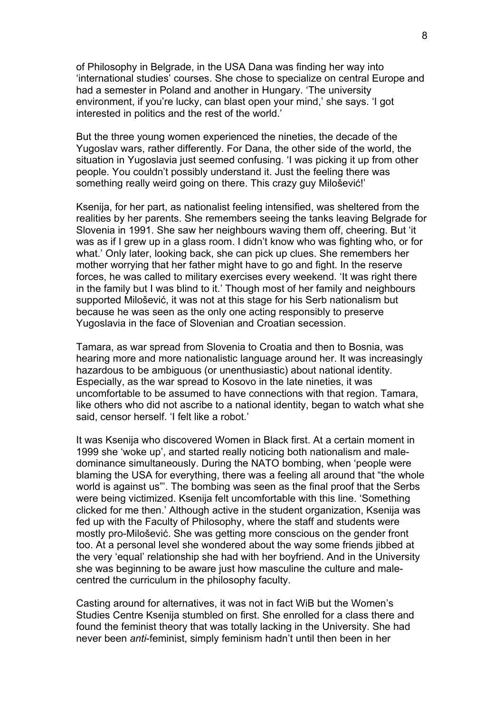of Philosophy in Belgrade, in the USA Dana was finding her way into 'international studies' courses. She chose to specialize on central Europe and had a semester in Poland and another in Hungary. 'The university environment, if you're lucky, can blast open your mind,' she says. 'I got interested in politics and the rest of the world.'

But the three young women experienced the nineties, the decade of the Yugoslav wars, rather differently. For Dana, the other side of the world, the situation in Yugoslavia just seemed confusing. 'I was picking it up from other people. You couldn't possibly understand it. Just the feeling there was something really weird going on there. This crazy guy Milošević!'

Ksenija, for her part, as nationalist feeling intensified, was sheltered from the realities by her parents. She remembers seeing the tanks leaving Belgrade for Slovenia in 1991. She saw her neighbours waving them off, cheering. But 'it was as if I grew up in a glass room. I didn't know who was fighting who, or for what.' Only later, looking back, she can pick up clues. She remembers her mother worrying that her father might have to go and fight. In the reserve forces, he was called to military exercises every weekend. 'It was right there in the family but I was blind to it.' Though most of her family and neighbours supported Milošević, it was not at this stage for his Serb nationalism but because he was seen as the only one acting responsibly to preserve Yugoslavia in the face of Slovenian and Croatian secession.

Tamara, as war spread from Slovenia to Croatia and then to Bosnia, was hearing more and more nationalistic language around her. It was increasingly hazardous to be ambiguous (or unenthusiastic) about national identity. Especially, as the war spread to Kosovo in the late nineties, it was uncomfortable to be assumed to have connections with that region. Tamara, like others who did not ascribe to a national identity, began to watch what she said, censor herself. 'I felt like a robot.'

It was Ksenija who discovered Women in Black first. At a certain moment in 1999 she 'woke up', and started really noticing both nationalism and maledominance simultaneously. During the NATO bombing, when 'people were blaming the USA for everything, there was a feeling all around that "the whole world is against us"'. The bombing was seen as the final proof that the Serbs were being victimized. Ksenija felt uncomfortable with this line. 'Something clicked for me then.' Although active in the student organization, Ksenija was fed up with the Faculty of Philosophy, where the staff and students were mostly pro-Milošević. She was getting more conscious on the gender front too. At a personal level she wondered about the way some friends jibbed at the very 'equal' relationship she had with her boyfriend. And in the University she was beginning to be aware just how masculine the culture and malecentred the curriculum in the philosophy faculty.

Casting around for alternatives, it was not in fact WiB but the Women's Studies Centre Ksenija stumbled on first. She enrolled for a class there and found the feminist theory that was totally lacking in the University. She had never been *anti*-feminist, simply feminism hadn't until then been in her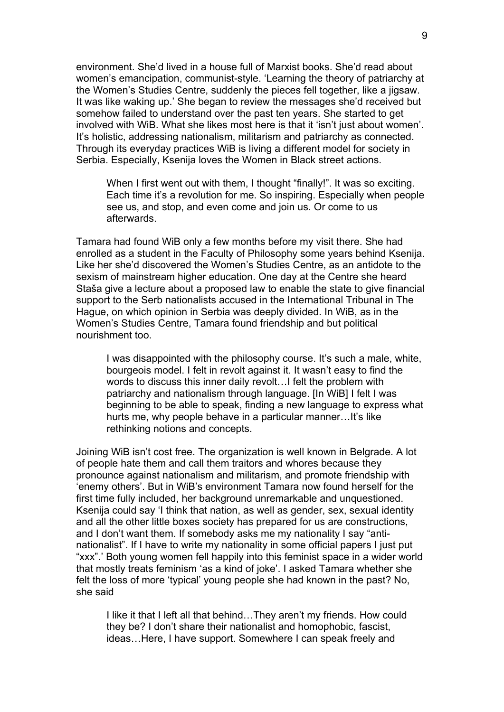environment. She'd lived in a house full of Marxist books. She'd read about women's emancipation, communist-style. 'Learning the theory of patriarchy at the Women's Studies Centre, suddenly the pieces fell together, like a jigsaw. It was like waking up.' She began to review the messages she'd received but somehow failed to understand over the past ten years. She started to get involved with WiB. What she likes most here is that it 'isn't just about women'. It's holistic, addressing nationalism, militarism and patriarchy as connected. Through its everyday practices WiB is living a different model for society in Serbia. Especially, Ksenija loves the Women in Black street actions.

When I first went out with them, I thought "finally!". It was so exciting. Each time it's a revolution for me. So inspiring. Especially when people see us, and stop, and even come and join us. Or come to us afterwards.

Tamara had found WiB only a few months before my visit there. She had enrolled as a student in the Faculty of Philosophy some years behind Ksenija. Like her she'd discovered the Women's Studies Centre, as an antidote to the sexism of mainstream higher education. One day at the Centre she heard Staša give a lecture about a proposed law to enable the state to give financial support to the Serb nationalists accused in the International Tribunal in The Hague, on which opinion in Serbia was deeply divided. In WiB, as in the Women's Studies Centre, Tamara found friendship and but political nourishment too.

I was disappointed with the philosophy course. It's such a male, white, bourgeois model. I felt in revolt against it. It wasn't easy to find the words to discuss this inner daily revolt…I felt the problem with patriarchy and nationalism through language. [In WiB] I felt I was beginning to be able to speak, finding a new language to express what hurts me, why people behave in a particular manner…It's like rethinking notions and concepts.

Joining WiB isn't cost free. The organization is well known in Belgrade. A lot of people hate them and call them traitors and whores because they pronounce against nationalism and militarism, and promote friendship with 'enemy others'. But in WiB's environment Tamara now found herself for the first time fully included, her background unremarkable and unquestioned. Ksenija could say 'I think that nation, as well as gender, sex, sexual identity and all the other little boxes society has prepared for us are constructions, and I don't want them. If somebody asks me my nationality I say "antinationalist". If I have to write my nationality in some official papers I just put "xxx".' Both young women fell happily into this feminist space in a wider world that mostly treats feminism 'as a kind of joke'. I asked Tamara whether she felt the loss of more 'typical' young people she had known in the past? No, she said

I like it that I left all that behind…They aren't my friends. How could they be? I don't share their nationalist and homophobic, fascist, ideas…Here, I have support. Somewhere I can speak freely and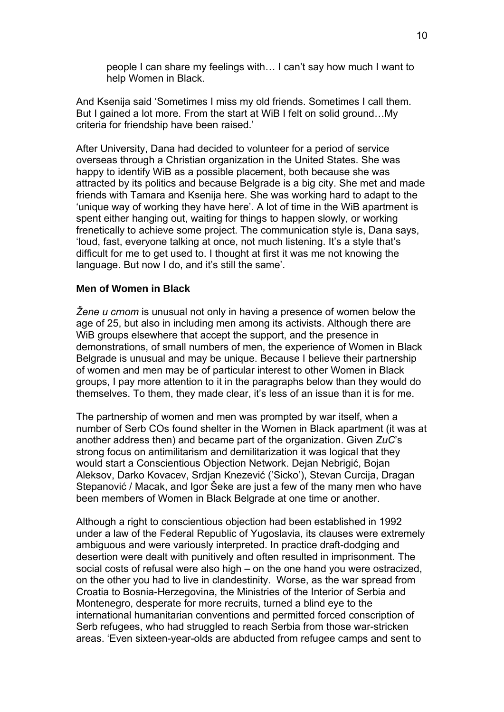people I can share my feelings with… I can't say how much I want to help Women in Black.

And Ksenija said 'Sometimes I miss my old friends. Sometimes I call them. But I gained a lot more. From the start at WiB I felt on solid ground…My criteria for friendship have been raised.'

After University, Dana had decided to volunteer for a period of service overseas through a Christian organization in the United States. She was happy to identify WiB as a possible placement, both because she was attracted by its politics and because Belgrade is a big city. She met and made friends with Tamara and Ksenija here. She was working hard to adapt to the 'unique way of working they have here'. A lot of time in the WiB apartment is spent either hanging out, waiting for things to happen slowly, or working frenetically to achieve some project. The communication style is, Dana says, 'loud, fast, everyone talking at once, not much listening. It's a style that's difficult for me to get used to. I thought at first it was me not knowing the language. But now I do, and it's still the same'.

### **Men of Women in Black**

*Žene u crnom* is unusual not only in having a presence of women below the age of 25, but also in including men among its activists. Although there are WiB groups elsewhere that accept the support, and the presence in demonstrations, of small numbers of men, the experience of Women in Black Belgrade is unusual and may be unique. Because I believe their partnership of women and men may be of particular interest to other Women in Black groups, I pay more attention to it in the paragraphs below than they would do themselves. To them, they made clear, it's less of an issue than it is for me.

The partnership of women and men was prompted by war itself, when a number of Serb COs found shelter in the Women in Black apartment (it was at another address then) and became part of the organization. Given *ZuC*'s strong focus on antimilitarism and demilitarization it was logical that they would start a Conscientious Objection Network. Dejan Nebrigić, Bojan Aleksov, Darko Kovacev, Srdjan Knezević ('Sicko'), Stevan Curcija, Dragan Stepanović / Macak, and Igor Šeke are just a few of the many men who have been members of Women in Black Belgrade at one time or another.

Although a right to conscientious objection had been established in 1992 under a law of the Federal Republic of Yugoslavia, its clauses were extremely ambiguous and were variously interpreted. In practice draft-dodging and desertion were dealt with punitively and often resulted in imprisonment. The social costs of refusal were also high – on the one hand you were ostracized, on the other you had to live in clandestinity. Worse, as the war spread from Croatia to Bosnia-Herzegovina, the Ministries of the Interior of Serbia and Montenegro, desperate for more recruits, turned a blind eye to the international humanitarian conventions and permitted forced conscription of Serb refugees, who had struggled to reach Serbia from those war-stricken areas. 'Even sixteen-year-olds are abducted from refugee camps and sent to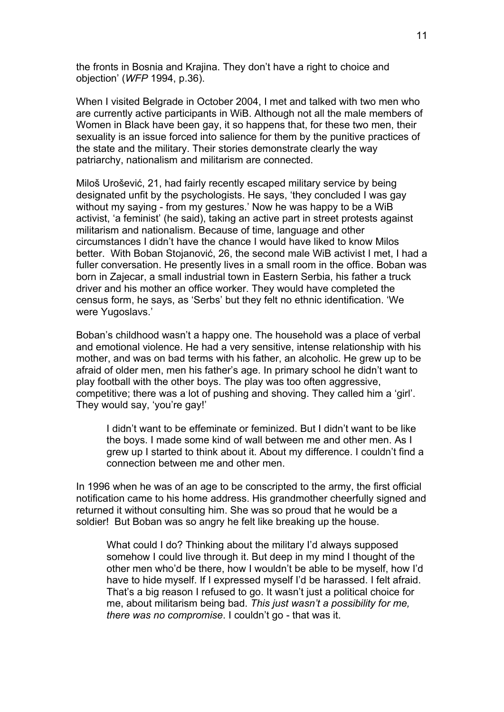the fronts in Bosnia and Krajina. They don't have a right to choice and objection' (*WFP* 1994, p.36).

When I visited Belgrade in October 2004, I met and talked with two men who are currently active participants in WiB. Although not all the male members of Women in Black have been gay, it so happens that, for these two men, their sexuality is an issue forced into salience for them by the punitive practices of the state and the military. Their stories demonstrate clearly the way patriarchy, nationalism and militarism are connected.

Miloš Urošević, 21, had fairly recently escaped military service by being designated unfit by the psychologists. He says, 'they concluded I was gay without my saying - from my gestures.' Now he was happy to be a WiB activist, 'a feminist' (he said), taking an active part in street protests against militarism and nationalism. Because of time, language and other circumstances I didn't have the chance I would have liked to know Milos better. With Boban Stojanović, 26, the second male WiB activist I met, I had a fuller conversation. He presently lives in a small room in the office. Boban was born in Zajecar, a small industrial town in Eastern Serbia, his father a truck driver and his mother an office worker. They would have completed the census form, he says, as 'Serbs' but they felt no ethnic identification. 'We were Yugoslavs.'

Boban's childhood wasn't a happy one. The household was a place of verbal and emotional violence. He had a very sensitive, intense relationship with his mother, and was on bad terms with his father, an alcoholic. He grew up to be afraid of older men, men his father's age. In primary school he didn't want to play football with the other boys. The play was too often aggressive, competitive; there was a lot of pushing and shoving. They called him a 'girl'. They would say, 'you're gay!'

I didn't want to be effeminate or feminized. But I didn't want to be like the boys. I made some kind of wall between me and other men. As I grew up I started to think about it. About my difference. I couldn't find a connection between me and other men.

In 1996 when he was of an age to be conscripted to the army, the first official notification came to his home address. His grandmother cheerfully signed and returned it without consulting him. She was so proud that he would be a soldier! But Boban was so angry he felt like breaking up the house.

What could I do? Thinking about the military I'd always supposed somehow I could live through it. But deep in my mind I thought of the other men who'd be there, how I wouldn't be able to be myself, how I'd have to hide myself. If I expressed myself I'd be harassed. I felt afraid. That's a big reason I refused to go. It wasn't just a political choice for me, about militarism being bad. *This just wasn't a possibility for me, there was no compromise*. I couldn't go - that was it.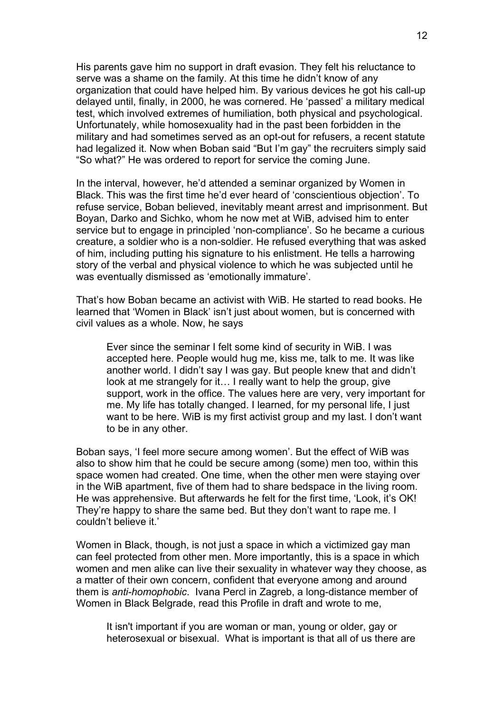His parents gave him no support in draft evasion. They felt his reluctance to serve was a shame on the family. At this time he didn't know of any organization that could have helped him. By various devices he got his call-up delayed until, finally, in 2000, he was cornered. He 'passed' a military medical test, which involved extremes of humiliation, both physical and psychological. Unfortunately, while homosexuality had in the past been forbidden in the military and had sometimes served as an opt-out for refusers, a recent statute had legalized it. Now when Boban said "But I'm gay" the recruiters simply said "So what?" He was ordered to report for service the coming June.

In the interval, however, he'd attended a seminar organized by Women in Black. This was the first time he'd ever heard of 'conscientious objection'. To refuse service, Boban believed, inevitably meant arrest and imprisonment. But Boyan, Darko and Sichko, whom he now met at WiB, advised him to enter service but to engage in principled 'non-compliance'. So he became a curious creature, a soldier who is a non-soldier. He refused everything that was asked of him, including putting his signature to his enlistment. He tells a harrowing story of the verbal and physical violence to which he was subjected until he was eventually dismissed as 'emotionally immature'.

That's how Boban became an activist with WiB. He started to read books. He learned that 'Women in Black' isn't just about women, but is concerned with civil values as a whole. Now, he says

Ever since the seminar I felt some kind of security in WiB. I was accepted here. People would hug me, kiss me, talk to me. It was like another world. I didn't say I was gay. But people knew that and didn't look at me strangely for it… I really want to help the group, give support, work in the office. The values here are very, very important for me. My life has totally changed. I learned, for my personal life, I just want to be here. WiB is my first activist group and my last. I don't want to be in any other.

Boban says, 'I feel more secure among women'. But the effect of WiB was also to show him that he could be secure among (some) men too, within this space women had created. One time, when the other men were staying over in the WiB apartment, five of them had to share bedspace in the living room. He was apprehensive. But afterwards he felt for the first time, 'Look, it's OK! They're happy to share the same bed. But they don't want to rape me. I couldn't believe it.'

Women in Black, though, is not just a space in which a victimized gay man can feel protected from other men. More importantly, this is a space in which women and men alike can live their sexuality in whatever way they choose, as a matter of their own concern, confident that everyone among and around them is *anti-homophobic*. Ivana Percl in Zagreb, a long-distance member of Women in Black Belgrade, read this Profile in draft and wrote to me,

It isn't important if you are woman or man, young or older, gay or heterosexual or bisexual. What is important is that all of us there are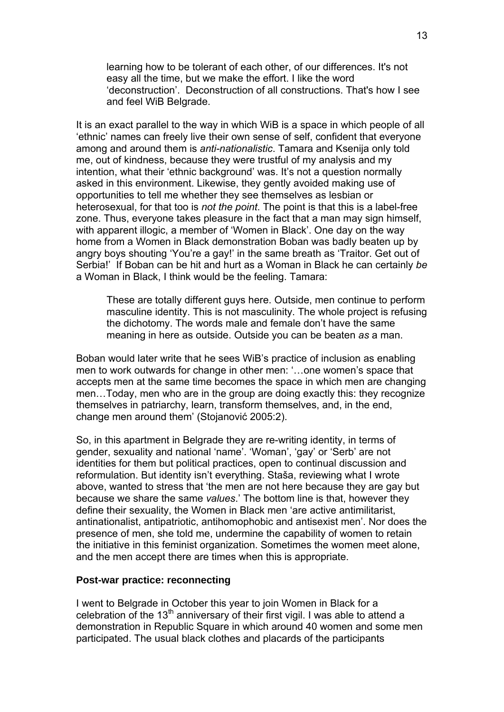learning how to be tolerant of each other, of our differences. It's not easy all the time, but we make the effort. I like the word 'deconstruction'. Deconstruction of all constructions. That's how I see and feel WiB Belgrade.

It is an exact parallel to the way in which WiB is a space in which people of all 'ethnic' names can freely live their own sense of self, confident that everyone among and around them is *anti-nationalistic*. Tamara and Ksenija only told me, out of kindness, because they were trustful of my analysis and my intention, what their 'ethnic background' was. It's not a question normally asked in this environment. Likewise, they gently avoided making use of opportunities to tell me whether they see themselves as lesbian or heterosexual, for that too is *not the point*. The point is that this is a label-free zone. Thus, everyone takes pleasure in the fact that a man may sign himself, with apparent illogic, a member of 'Women in Black'. One day on the way home from a Women in Black demonstration Boban was badly beaten up by angry boys shouting 'You're a gay!' in the same breath as 'Traitor. Get out of Serbia!' If Boban can be hit and hurt as a Woman in Black he can certainly *be*  a Woman in Black, I think would be the feeling. Tamara:

These are totally different guys here. Outside, men continue to perform masculine identity. This is not masculinity. The whole project is refusing the dichotomy. The words male and female don't have the same meaning in here as outside. Outside you can be beaten *as* a man.

Boban would later write that he sees WiB's practice of inclusion as enabling men to work outwards for change in other men: '…one women's space that accepts men at the same time becomes the space in which men are changing men…Today, men who are in the group are doing exactly this: they recognize themselves in patriarchy, learn, transform themselves, and, in the end, change men around them' (Stojanović 2005:2).

So, in this apartment in Belgrade they are re-writing identity, in terms of gender, sexuality and national 'name'. 'Woman', 'gay' or 'Serb' are not identities for them but political practices, open to continual discussion and reformulation. But identity isn't everything. Staša, reviewing what I wrote above, wanted to stress that 'the men are not here because they are gay but because we share the same *values*.' The bottom line is that, however they define their sexuality, the Women in Black men 'are active antimilitarist, antinationalist, antipatriotic, antihomophobic and antisexist men'. Nor does the presence of men, she told me, undermine the capability of women to retain the initiative in this feminist organization. Sometimes the women meet alone, and the men accept there are times when this is appropriate.

# **Post-war practice: reconnecting**

I went to Belgrade in October this year to join Women in Black for a celebration of the 13<sup>th</sup> anniversary of their first vigil. I was able to attend a demonstration in Republic Square in which around 40 women and some men participated. The usual black clothes and placards of the participants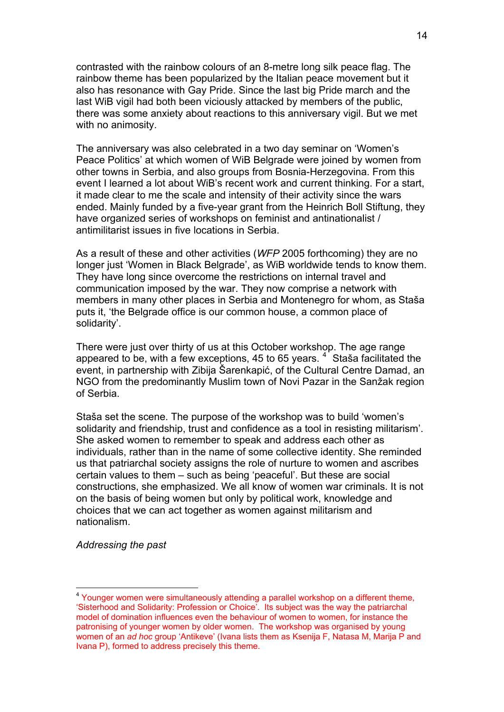contrasted with the rainbow colours of an 8-metre long silk peace flag. The rainbow theme has been popularized by the Italian peace movement but it also has resonance with Gay Pride. Since the last big Pride march and the last WiB vigil had both been viciously attacked by members of the public, there was some anxiety about reactions to this anniversary vigil. But we met with no animosity.

The anniversary was also celebrated in a two day seminar on 'Women's Peace Politics' at which women of WiB Belgrade were joined by women from other towns in Serbia, and also groups from Bosnia-Herzegovina. From this event I learned a lot about WiB's recent work and current thinking. For a start, it made clear to me the scale and intensity of their activity since the wars ended. Mainly funded by a five-year grant from the Heinrich Boll Stiftung, they have organized series of workshops on feminist and antinationalist / antimilitarist issues in five locations in Serbia.

As a result of these and other activities (*WFP* 2005 forthcoming) they are no longer just 'Women in Black Belgrade', as WiB worldwide tends to know them. They have long since overcome the restrictions on internal travel and communication imposed by the war. They now comprise a network with members in many other places in Serbia and Montenegro for whom, as Staša puts it, 'the Belgrade office is our common house, a common place of solidarity'.

There were just over thirty of us at this October workshop. The age range appeared to be, with a few exceptions, [4](#page-13-0)5 to 65 years.  $4^{1}$  Staša facilitated the event, in partnership with Zibija Šarenkapić, of the Cultural Centre Damad, an NGO from the predominantly Muslim town of Novi Pazar in the Sanžak region of Serbia.

Staša set the scene. The purpose of the workshop was to build 'women's solidarity and friendship, trust and confidence as a tool in resisting militarism'. She asked women to remember to speak and address each other as individuals, rather than in the name of some collective identity. She reminded us that patriarchal society assigns the role of nurture to women and ascribes certain values to them – such as being 'peaceful'. But these are social constructions, she emphasized. We all know of women war criminals. It is not on the basis of being women but only by political work, knowledge and choices that we can act together as women against militarism and nationalism.

*Addressing the past* 

1

<span id="page-13-0"></span><sup>&</sup>lt;sup>4</sup> Younger women were simultaneously attending a parallel workshop on a different theme, 'Sisterhood and Solidarity: Profession or Choice'. Its subject was the way the patriarchal model of domination influences even the behaviour of women to women, for instance the patronising of younger women by older women. The workshop was organised by young women of an *ad hoc* group 'Antikeve' (Ivana lists them as Ksenija F, Natasa M, Marija P and Ivana P), formed to address precisely this theme.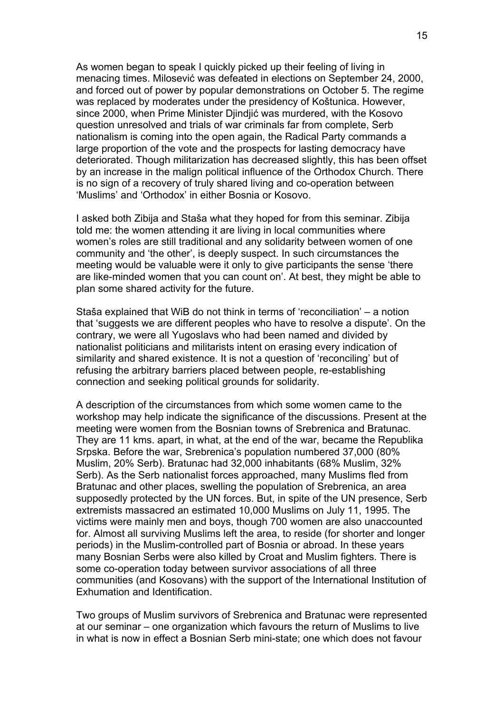As women began to speak I quickly picked up their feeling of living in menacing times. Milosević was defeated in elections on September 24, 2000, and forced out of power by popular demonstrations on October 5. The regime was replaced by moderates under the presidency of Koštunica. However, since 2000, when Prime Minister Djindjić was murdered, with the Kosovo question unresolved and trials of war criminals far from complete, Serb nationalism is coming into the open again, the Radical Party commands a large proportion of the vote and the prospects for lasting democracy have deteriorated. Though militarization has decreased slightly, this has been offset by an increase in the malign political influence of the Orthodox Church. There is no sign of a recovery of truly shared living and co-operation between 'Muslims' and 'Orthodox' in either Bosnia or Kosovo.

I asked both Zibija and Staša what they hoped for from this seminar. Zibija told me: the women attending it are living in local communities where women's roles are still traditional and any solidarity between women of one community and 'the other', is deeply suspect. In such circumstances the meeting would be valuable were it only to give participants the sense 'there are like-minded women that you can count on'. At best, they might be able to plan some shared activity for the future.

Staša explained that WiB do not think in terms of 'reconciliation' – a notion that 'suggests we are different peoples who have to resolve a dispute'. On the contrary, we were all Yugoslavs who had been named and divided by nationalist politicians and militarists intent on erasing every indication of similarity and shared existence. It is not a question of 'reconciling' but of refusing the arbitrary barriers placed between people, re-establishing connection and seeking political grounds for solidarity.

A description of the circumstances from which some women came to the workshop may help indicate the significance of the discussions. Present at the meeting were women from the Bosnian towns of Srebrenica and Bratunac. They are 11 kms. apart, in what, at the end of the war, became the Republika Srpska. Before the war, Srebrenica's population numbered 37,000 (80% Muslim, 20% Serb). Bratunac had 32,000 inhabitants (68% Muslim, 32% Serb). As the Serb nationalist forces approached, many Muslims fled from Bratunac and other places, swelling the population of Srebrenica, an area supposedly protected by the UN forces. But, in spite of the UN presence, Serb extremists massacred an estimated 10,000 Muslims on July 11, 1995. The victims were mainly men and boys, though 700 women are also unaccounted for. Almost all surviving Muslims left the area, to reside (for shorter and longer periods) in the Muslim-controlled part of Bosnia or abroad. In these years many Bosnian Serbs were also killed by Croat and Muslim fighters. There is some co-operation today between survivor associations of all three communities (and Kosovans) with the support of the International Institution of Exhumation and Identification.

Two groups of Muslim survivors of Srebrenica and Bratunac were represented at our seminar – one organization which favours the return of Muslims to live in what is now in effect a Bosnian Serb mini-state; one which does not favour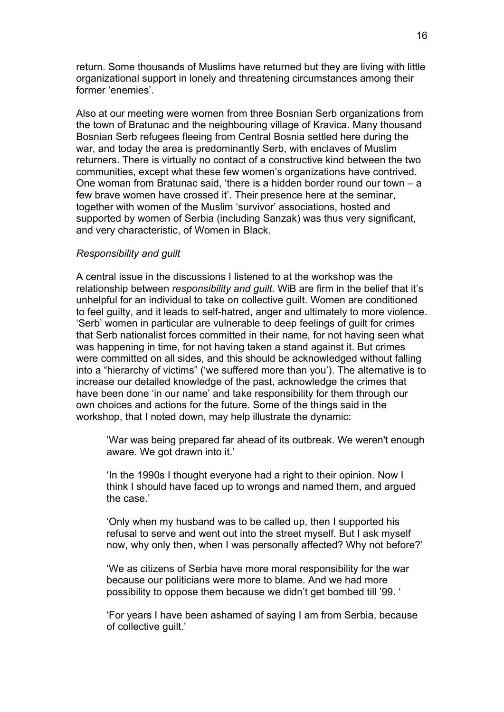return. Some thousands of Muslims have returned but they are living with little organizational support in lonely and threatening circumstances among their former 'enemies'.

Also at our meeting were women from three Bosnian Serb organizations from the town of Bratunac and the neighbouring village of Kravica. Many thousand Bosnian Serb refugees fleeing from Central Bosnia settled here during the war, and today the area is predominantly Serb, with enclaves of Muslim returners. There is virtually no contact of a constructive kind between the two communities, except what these few women's organizations have contrived. One woman from Bratunac said, 'there is a hidden border round our town – a few brave women have crossed it'. Their presence here at the seminar, together with women of the Muslim 'survivor' associations, hosted and supported by women of Serbia (including Sanzak) was thus very significant, and very characteristic, of Women in Black.

#### *Responsibility and guilt*

A central issue in the discussions I listened to at the workshop was the relationship between *responsibility and guilt*. WiB are firm in the belief that it's unhelpful for an individual to take on collective guilt. Women are conditioned to feel guilty, and it leads to self-hatred, anger and ultimately to more violence. 'Serb' women in particular are vulnerable to deep feelings of guilt for crimes that Serb nationalist forces committed in their name, for not having seen what was happening in time, for not having taken a stand against it. But crimes were committed on all sides, and this should be acknowledged without falling into a "hierarchy of victims" ('we suffered more than you'). The alternative is to increase our detailed knowledge of the past, acknowledge the crimes that have been done 'in our name' and take responsibility for them through our own choices and actions for the future. Some of the things said in the workshop, that I noted down, may help illustrate the dynamic:

'War was being prepared far ahead of its outbreak. We weren't enough aware. We got drawn into it.'

'In the 1990s I thought everyone had a right to their opinion. Now I think I should have faced up to wrongs and named them, and argued the case.'

'Only when my husband was to be called up, then I supported his refusal to serve and went out into the street myself. But I ask myself now, why only then, when I was personally affected? Why not before?'

'We as citizens of Serbia have more moral responsibility for the war because our politicians were more to blame. And we had more possibility to oppose them because we didn't get bombed till '99. '

'For years I have been ashamed of saying I am from Serbia, because of collective guilt.'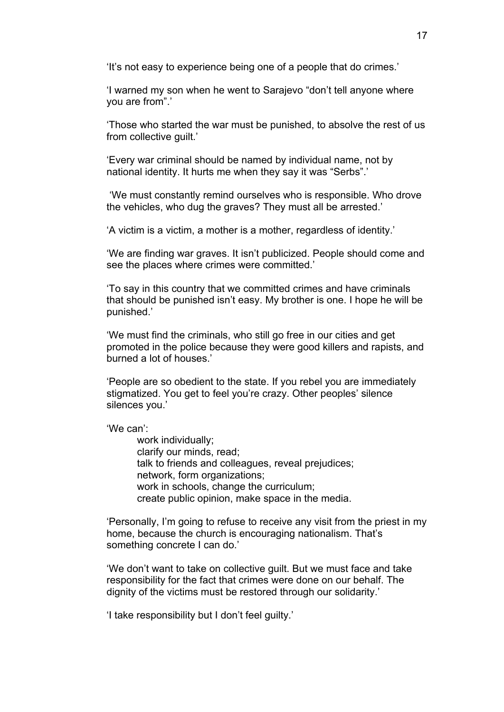'It's not easy to experience being one of a people that do crimes.'

'I warned my son when he went to Sarajevo "don't tell anyone where you are from".'

'Those who started the war must be punished, to absolve the rest of us from collective guilt.'

'Every war criminal should be named by individual name, not by national identity. It hurts me when they say it was "Serbs".'

 'We must constantly remind ourselves who is responsible. Who drove the vehicles, who dug the graves? They must all be arrested.'

'A victim is a victim, a mother is a mother, regardless of identity.'

'We are finding war graves. It isn't publicized. People should come and see the places where crimes were committed.'

'To say in this country that we committed crimes and have criminals that should be punished isn't easy. My brother is one. I hope he will be punished.'

'We must find the criminals, who still go free in our cities and get promoted in the police because they were good killers and rapists, and burned a lot of houses.'

'People are so obedient to the state. If you rebel you are immediately stigmatized. You get to feel you're crazy. Other peoples' silence silences you.'

# 'We can':

work individually; clarify our minds, read; talk to friends and colleagues, reveal prejudices; network, form organizations; work in schools, change the curriculum; create public opinion, make space in the media.

'Personally, I'm going to refuse to receive any visit from the priest in my home, because the church is encouraging nationalism. That's something concrete I can do.'

'We don't want to take on collective guilt. But we must face and take responsibility for the fact that crimes were done on our behalf. The dignity of the victims must be restored through our solidarity.'

'I take responsibility but I don't feel guilty.'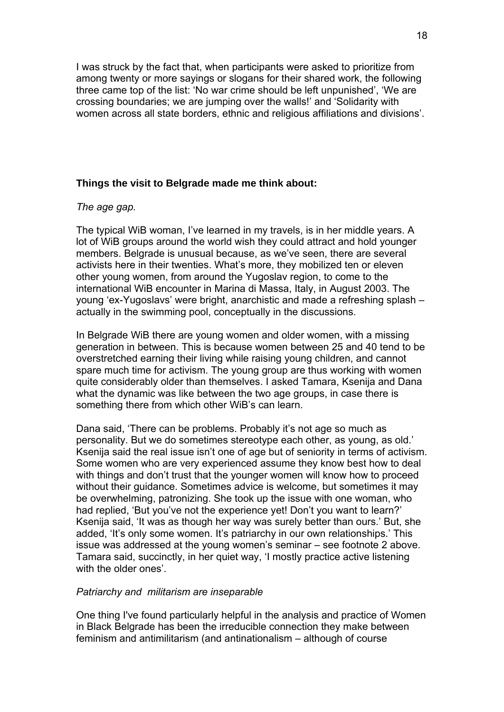I was struck by the fact that, when participants were asked to prioritize from among twenty or more sayings or slogans for their shared work, the following three came top of the list: 'No war crime should be left unpunished', 'We are crossing boundaries; we are jumping over the walls!' and 'Solidarity with women across all state borders, ethnic and religious affiliations and divisions'.

# **Things the visit to Belgrade made me think about:**

*The age gap.* 

The typical WiB woman, I've learned in my travels, is in her middle years. A lot of WiB groups around the world wish they could attract and hold younger members. Belgrade is unusual because, as we've seen, there are several activists here in their twenties. What's more, they mobilized ten or eleven other young women, from around the Yugoslav region, to come to the international WiB encounter in Marina di Massa, Italy, in August 2003. The young 'ex-Yugoslavs' were bright, anarchistic and made a refreshing splash – actually in the swimming pool, conceptually in the discussions.

In Belgrade WiB there are young women and older women, with a missing generation in between. This is because women between 25 and 40 tend to be overstretched earning their living while raising young children, and cannot spare much time for activism. The young group are thus working with women quite considerably older than themselves. I asked Tamara, Ksenija and Dana what the dynamic was like between the two age groups, in case there is something there from which other WiB's can learn.

Dana said, 'There can be problems. Probably it's not age so much as personality. But we do sometimes stereotype each other, as young, as old.' Ksenija said the real issue isn't one of age but of seniority in terms of activism. Some women who are very experienced assume they know best how to deal with things and don't trust that the younger women will know how to proceed without their guidance. Sometimes advice is welcome, but sometimes it may be overwhelming, patronizing. She took up the issue with one woman, who had replied, 'But you've not the experience yet! Don't you want to learn?' Ksenija said, 'It was as though her way was surely better than ours.' But, she added, 'It's only some women. It's patriarchy in our own relationships.' This issue was addressed at the young women's seminar – see footnote 2 above. Tamara said, succinctly, in her quiet way, 'I mostly practice active listening with the older ones'.

#### *Patriarchy and militarism are inseparable*

One thing I've found particularly helpful in the analysis and practice of Women in Black Belgrade has been the irreducible connection they make between feminism and antimilitarism (and antinationalism – although of course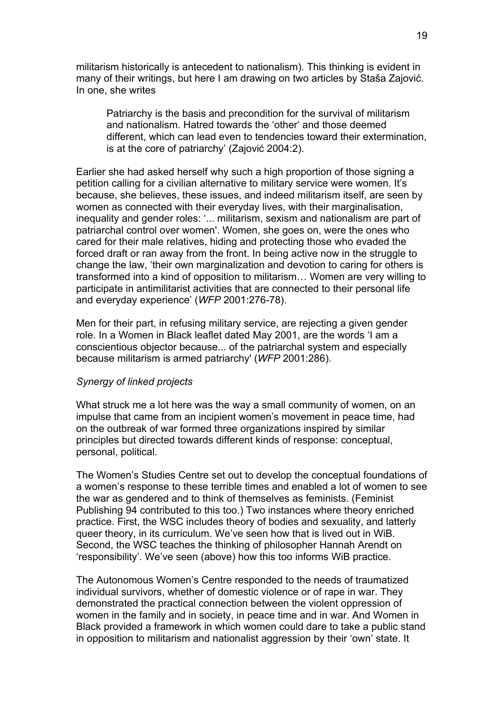militarism historically is antecedent to nationalism). This thinking is evident in many of their writings, but here I am drawing on two articles by Staša Zajović. In one, she writes

Patriarchy is the basis and precondition for the survival of militarism and nationalism. Hatred towards the 'other' and those deemed different, which can lead even to tendencies toward their extermination, is at the core of patriarchy' (Zajović 2004:2).

Earlier she had asked herself why such a high proportion of those signing a petition calling for a civilian alternative to military service were women. It's because, she believes, these issues, and indeed militarism itself, are seen by women as connected with their everyday lives, with their marginalisation, inequality and gender roles: '... militarism, sexism and nationalism are part of patriarchal control over women'. Women, she goes on, were the ones who cared for their male relatives, hiding and protecting those who evaded the forced draft or ran away from the front. In being active now in the struggle to change the law, 'their own marginalization and devotion to caring for others is transformed into a kind of opposition to militarism… Women are very willing to participate in antimilitarist activities that are connected to their personal life and everyday experience' (*WFP* 2001:276-78).

Men for their part, in refusing military service, are rejecting a given gender role. In a Women in Black leaflet dated May 2001, are the words 'I am a conscientious objector because... of the patriarchal system and especially because militarism is armed patriarchy' (*WFP* 2001:286).

## *Synergy of linked projects*

What struck me a lot here was the way a small community of women, on an impulse that came from an incipient women's movement in peace time, had on the outbreak of war formed three organizations inspired by similar principles but directed towards different kinds of response: conceptual, personal, political.

The Women's Studies Centre set out to develop the conceptual foundations of a women's response to these terrible times and enabled a lot of women to see the war as gendered and to think of themselves as feminists. (Feminist Publishing 94 contributed to this too.) Two instances where theory enriched practice. First, the WSC includes theory of bodies and sexuality, and latterly queer theory, in its curriculum. We've seen how that is lived out in WiB. Second, the WSC teaches the thinking of philosopher Hannah Arendt on 'responsibility'. We've seen (above) how this too informs WiB practice.

The Autonomous Women's Centre responded to the needs of traumatized individual survivors, whether of domestic violence or of rape in war. They demonstrated the practical connection between the violent oppression of women in the family and in society, in peace time and in war. And Women in Black provided a framework in which women could dare to take a public stand in opposition to militarism and nationalist aggression by their 'own' state. It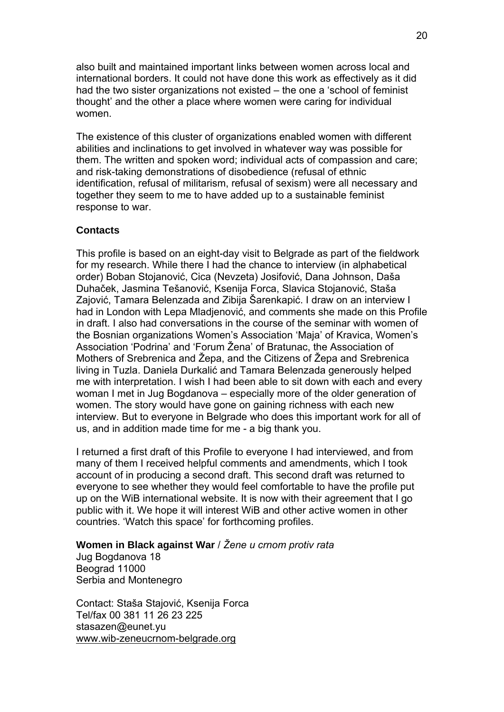also built and maintained important links between women across local and international borders. It could not have done this work as effectively as it did had the two sister organizations not existed – the one a 'school of feminist thought' and the other a place where women were caring for individual women.

The existence of this cluster of organizations enabled women with different abilities and inclinations to get involved in whatever way was possible for them. The written and spoken word; individual acts of compassion and care; and risk-taking demonstrations of disobedience (refusal of ethnic identification, refusal of militarism, refusal of sexism) were all necessary and together they seem to me to have added up to a sustainable feminist response to war.

# **Contacts**

This profile is based on an eight-day visit to Belgrade as part of the fieldwork for my research. While there I had the chance to interview (in alphabetical order) Boban Stojanović, Cica (Nevzeta) Josifović, Dana Johnson, Daša Duhaček, Jasmina Tešanović, Ksenija Forca, Slavica Stojanović, Staša Zajović, Tamara Belenzada and Zibija Šarenkapić. I draw on an interview I had in London with Lepa Mladjenović, and comments she made on this Profile in draft. I also had conversations in the course of the seminar with women of the Bosnian organizations Women's Association 'Maja' of Kravica, Women's Association 'Podrina' and 'Forum Žena' of Bratunac, the Association of Mothers of Srebrenica and Žepa, and the Citizens of Žepa and Srebrenica living in Tuzla. Daniela Durkalić and Tamara Belenzada generously helped me with interpretation. I wish I had been able to sit down with each and every woman I met in Jug Bogdanova – especially more of the older generation of women. The story would have gone on gaining richness with each new interview. But to everyone in Belgrade who does this important work for all of us, and in addition made time for me - a big thank you.

I returned a first draft of this Profile to everyone I had interviewed, and from many of them I received helpful comments and amendments, which I took account of in producing a second draft. This second draft was returned to everyone to see whether they would feel comfortable to have the profile put up on the WiB international website. It is now with their agreement that I go public with it. We hope it will interest WiB and other active women in other countries. 'Watch this space' for forthcoming profiles.

**Women in Black against War** / *Žene u crnom protiv rata* 

Jug Bogdanova 18 Beograd 11000 Serbia and Montenegro

Contact: Staša Stajović, Ksenija Forca Tel/fax 00 381 11 26 23 225 stasazen@eunet.yu [www.wib-zeneucrnom-belgrade.org](http://www.wib-zeneucrnom-belgrade.org/)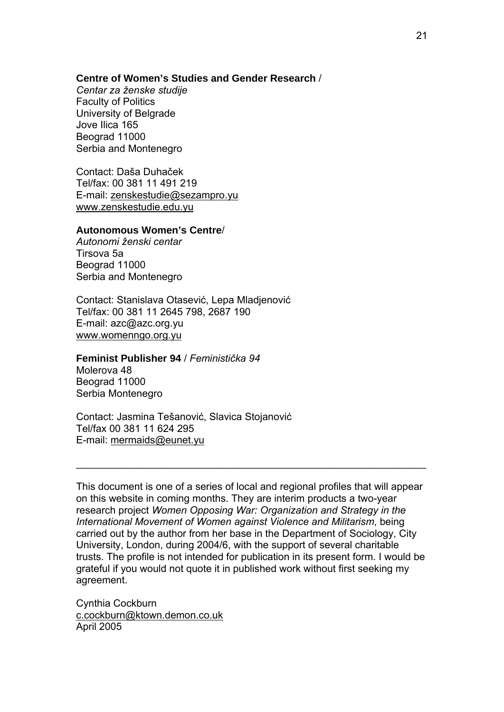### **Centre of Women's Studies and Gender Research** /

*Centar za ženske studije*  Faculty of Politics University of Belgrade Jove Ilica 165 Beograd 11000 Serbia and Montenegro

Contact: Daša Duhaček Tel/fax: 00 381 11 491 219 E-mail: [zenskestudie@sezampro.yu](mailto:zenskestudie@sezampro.yu) [www.zenskestudie.edu.yu](http://www.zenskestudie.edu.yu/)

### **Autonomous Women's Centre**/

*Autonomi ženski centar*  Tirsova 5a Beograd 11000 Serbia and Montenegro

Contact: Stanislava Otasević, Lepa Mladjenović Tel/fax: 00 381 11 2645 798, 2687 190 E-mail: azc@azc.org.yu [www.womenngo.org.yu](http://www.womenngo.org.yu/)

#### **Feminist Publisher 94** / *Feministička 94*

Molerova 48 Beograd 11000 Serbia Montenegro

Contact: Jasmina Tešanović, Slavica Stojanović Tel/fax 00 381 11 624 295 E-mail: [mermaids@eunet.yu](mailto:mermaids@eunet.yu)

This document is one of a series of local and regional profiles that will appear on this website in coming months. They are interim products a two-year research project *Women Opposing War: Organization and Strategy in the International Movement of Women against Violence and Militarism*, being carried out by the author from her base in the Department of Sociology, City University, London, during 2004/6, with the support of several charitable trusts. The profile is not intended for publication in its present form. I would be grateful if you would not quote it in published work without first seeking my agreement.

 $\_$  , and the set of the set of the set of the set of the set of the set of the set of the set of the set of the set of the set of the set of the set of the set of the set of the set of the set of the set of the set of th

Cynthia Cockburn [c.cockburn@ktown.demon.co.uk](mailto:c.cockburn@ktown.demon.co.uk) April 2005